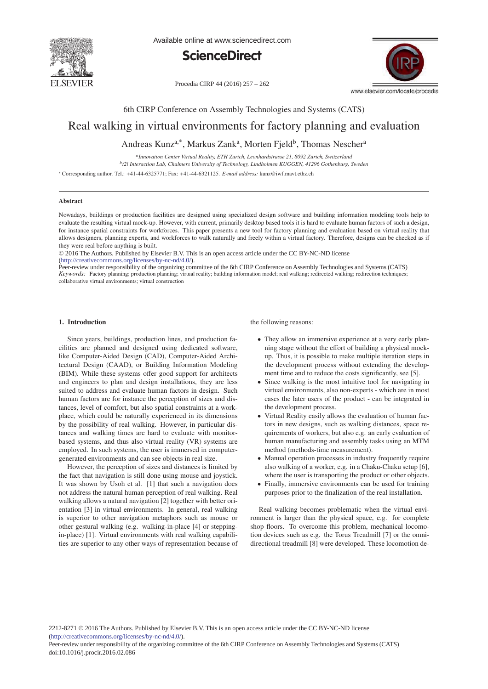

Available online at www.sciencedirect.com



Procedia CIRP 44 (2016) 257 - 262



6th CIRP Conference on Assembly Technologies and Systems (CATS)

# Real walking in virtual environments for factory planning and evaluation

## Andreas Kunz<sup>a,\*</sup>, Markus Zank<sup>a</sup>, Morten Fjeld<sup>b</sup>, Thomas Nescher<sup>a</sup>

*aInnovation Center Virtual Reality, ETH Zurich, Leonhardstrasse 21, 8092 Zurich, Switzerland bt2i Interaction Lab, Chalmers University of Technology, Lindholmen KUGGEN, 41296 Gothenburg, Sweden*

∗ Corresponding author. Tel.: +41-44-6325771; Fax: +41-44-6321125. *E-mail address:* kunz@iwf.mavt.ethz.ch

#### **Abstract**

Nowadays, buildings or production facilities are designed using specialized design software and building information modeling tools help to evaluate the resulting virtual mock-up. However, with current, primarily desktop based tools it is hard to evaluate human factors of such a design, for instance spatial constraints for workforces. This paper presents a new tool for factory planning and evaluation based on virtual reality that allows designers, planning experts, and workforces to walk naturally and freely within a virtual factory. Therefore, designs can be checked as if they were real before anything is built.

c 2016 The Authors. Published by Elsevier B.V. © 2016 The Authors. Published by Elsevier B.V. This is an open access article under the CC BY-NC-ND license (http://creativecommons.org/licenses/by-nc-nd/4.0/).

(http://creativecommons.org/licenses/by-nc-nd/4.0/).<br>Peer-review under responsibility of the organizing committee of the 6th CIRP Conference on Assembly Technologies and Systems (CATS) *Keywords:* Factory planning; production planning; virtual reality; building information model; real walking; redirected walking; redirection techniques; collaborative virtual environments; virtual construction

## 1. Introduction

Since years, buildings, production lines, and production facilities are planned and designed using dedicated software, like Computer-Aided Design (CAD), Computer-Aided Architectural Design (CAAD), or Building Information Modeling (BIM). While these systems offer good support for architects and engineers to plan and design installations, they are less suited to address and evaluate human factors in design. Such human factors are for instance the perception of sizes and distances, level of comfort, but also spatial constraints at a workplace, which could be naturally experienced in its dimensions by the possibility of real walking. However, in particular distances and walking times are hard to evaluate with monitorbased systems, and thus also virtual reality (VR) systems are employed. In such systems, the user is immersed in computergenerated environments and can see objects in real size.

However, the perception of sizes and distances is limited by the fact that navigation is still done using mouse and joystick. It was shown by Usoh et al. [1] that such a navigation does not address the natural human perception of real walking. Real walking allows a natural navigation [2] together with better orientation [3] in virtual environments. In general, real walking is superior to other navigation metaphors such as mouse or other gestural walking (e.g. walking-in-place [4] or steppingin-place) [1]. Virtual environments with real walking capabilities are superior to any other ways of representation because of the following reasons:

- They allow an immersive experience at a very early planning stage without the effort of building a physical mockup. Thus, it is possible to make multiple iteration steps in the development process without extending the development time and to reduce the costs significantly, see [5].
- Since walking is the most intuitive tool for navigating in virtual environments, also non-experts - which are in most cases the later users of the product - can be integrated in the development process.
- Virtual Reality easily allows the evaluation of human factors in new designs, such as walking distances, space requirements of workers, but also e.g. an early evaluation of human manufacturing and assembly tasks using an MTM method (methods-time measurement).
- Manual operation processes in industry frequently require also walking of a worker, e.g. in a Chaku-Chaku setup [6], where the user is transporting the product or other objects.
- Finally, immersive environments can be used for training purposes prior to the finalization of the real installation.

Real walking becomes problematic when the virtual environment is larger than the physical space, e.g. for complete shop floors. To overcome this problem, mechanical locomotion devices such as e.g. the Torus Treadmill [7] or the omnidirectional treadmill [8] were developed. These locomotion de-

2212-8271 © 2016 The Authors. Published by Elsevier B.V. This is an open access article under the CC BY-NC-ND license (http://creativecommons.org/licenses/by-nc-nd/4.0/).

Peer-review under responsibility of the organizing committee of the 6th CIRP Conference on Assembly Technologies and Systems (CATS) doi: 10.1016/j.procir.2016.02.086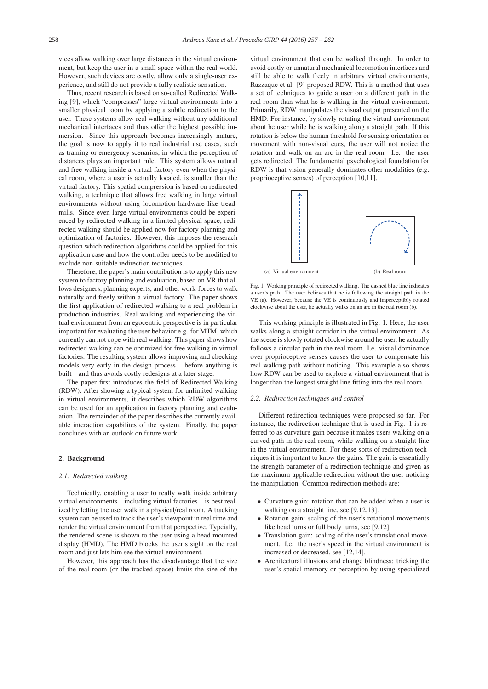vices allow walking over large distances in the virtual environment, but keep the user in a small space within the real world. However, such devices are costly, allow only a single-user experience, and still do not provide a fully realistic sensation.

Thus, recent research is based on so-called Redirected Walking [9], which "compresses" large virtual environments into a smaller physical room by applying a subtle redirection to the user. These systems allow real walking without any additional mechanical interfaces and thus offer the highest possible immersion. Since this approach becomes increasingly mature, the goal is now to apply it to real industrial use cases, such as training or emergency scenarios, in which the perception of distances plays an important rule. This system allows natural and free walking inside a virtual factory even when the physical room, where a user is actually located, is smaller than the virtual factory. This spatial compression is based on redirected walking, a technique that allows free walking in large virtual environments without using locomotion hardware like treadmills. Since even large virtual environments could be experienced by redirected walking in a limited physical space, redirected walking should be applied now for factory planning and optimization of factories. However, this imposes the reserach question which redirection algorithms could be applied for this application case and how the controller needs to be modified to exclude non-suitable redirection techniques.

Therefore, the paper's main contribution is to apply this new system to factory planning and evaluation, based on VR that allows designers, planning experts, and other work-forces to walk naturally and freely within a virtual factory. The paper shows the first application of redirected walking to a real problem in production industries. Real walking and experiencing the virtual environment from an egocentric perspective is in particular important for evaluating the user behavior e.g. for MTM, which currently can not cope with real walking. This paper shows how redirected walking can be optimized for free walking in virtual factories. The resulting system allows improving and checking models very early in the design process – before anything is built – and thus avoids costly redesigns at a later stage.

The paper first introduces the field of Redirected Walking (RDW). After showing a typical system for unlimited walking in virtual environments, it describes which RDW algorithms can be used for an application in factory planning and evaluation. The remainder of the paper describes the currently available interaction capabilites of the system. Finally, the paper concludes with an outlook on future work.

## 2. Background

#### *2.1. Redirected walking*

Technically, enabling a user to really walk inside arbitrary virtual environments – including virtual factories – is best realized by letting the user walk in a physical/real room. A tracking system can be used to track the user's viewpoint in real time and render the virtual environment from that perspective. Typcially, the rendered scene is shown to the user using a head mounted display (HMD). The HMD blocks the user's sight on the real room and just lets him see the virtual environment.

However, this approach has the disadvantage that the size of the real room (or the tracked space) limits the size of the

virtual environment that can be walked through. In order to avoid costly or unnatural mechanical locomotion interfaces and still be able to walk freely in arbitrary virtual environments, Razzaque et al. [9] proposed RDW. This is a method that uses a set of techniques to guide a user on a different path in the real room than what he is walking in the virtual environment. Primarily, RDW manipulates the visual output presented on the HMD. For instance, by slowly rotating the virtual environment about he user while he is walking along a straight path. If this rotation is below the human threshold for sensing orientation or movement with non-visual cues, the user will not notice the rotation and walk on an arc in the real room. I.e. the user gets redirected. The fundamental psychological foundation for RDW is that vision generally dominates other modalities (e.g. proprioceptive senses) of perception [10,11].



Fig. 1. Working principle of redirected walking. The dashed blue line indicates a user's path. The user believes that he is following the straight path in the VE (a). However, because the VE is continuously and imperceptibly rotated clockwise about the user, he actually walks on an arc in the real room (b).

This working principle is illustrated in Fig. 1. Here, the user walks along a straight corridor in the virtual environment. As the scene is slowly rotated clockwise around he user, he actually follows a circular path in the real room. I.e. visual dominance over proprioceptive senses causes the user to compensate his real walking path without noticing. This example also shows how RDW can be used to explore a virtual environment that is longer than the longest straight line fitting into the real room.

## *2.2. Redirection techniques and control*

Different redirection techniques were proposed so far. For instance, the redirection technique that is used in Fig. 1 is referred to as curvature gain because it makes users walking on a curved path in the real room, while walking on a straight line in the virtual environment. For these sorts of redirection techniques it is important to know the gains. The gain is essentially the strength parameter of a redirection technique and given as the maximum applicable redirection without the user noticing the manipulation. Common redirection methods are:

- Curvature gain: rotation that can be added when a user is walking on a straight line, see [9,12,13].
- Rotation gain: scaling of the user's rotational movements like head turns or full body turns, see [9,12].
- Translation gain: scaling of the user's translational movement. I.e. the user's speed in the virtual environment is increased or decreased, see [12,14].
- Architectural illusions and change blindness: tricking the user's spatial memory or perception by using specialized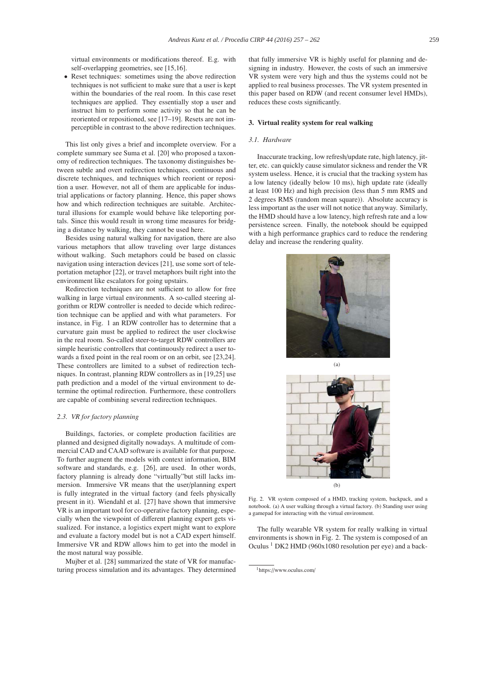virtual environments or modifications thereof. E.g. with self-overlapping geometries, see [15,16].

• Reset techniques: sometimes using the above redirection techniques is not sufficient to make sure that a user is kept within the boundaries of the real room. In this case reset techniques are applied. They essentially stop a user and instruct him to perform some activity so that he can be reoriented or repositioned, see [17–19]. Resets are not imperceptible in contrast to the above redirection techniques.

This list only gives a brief and incomplete overview. For a complete summary see Suma et al. [20] who proposed a taxonomy of redirection techniques. The taxonomy distinguishes between subtle and overt redirection techniques, continuous and discrete techniques, and techniques which reorient or reposition a user. However, not all of them are applicable for industrial applications or factory planning. Hence, this paper shows how and which redirection techniques are suitable. Architectural illusions for example would behave like teleporting portals. Since this would result in wrong time measures for bridging a distance by walking, they cannot be used here.

Besides using natural walking for navigation, there are also various metaphors that allow traveling over large distances without walking. Such metaphors could be based on classic navigation using interaction devices [21], use some sort of teleportation metaphor [22], or travel metaphors built right into the environment like escalators for going upstairs.

Redirection techniques are not sufficient to allow for free walking in large virtual environments. A so-called steering algorithm or RDW controller is needed to decide which redirection technique can be applied and with what parameters. For instance, in Fig. 1 an RDW controller has to determine that a curvature gain must be applied to redirect the user clockwise in the real room. So-called steer-to-target RDW controllers are simple heuristic controllers that continuously redirect a user towards a fixed point in the real room or on an orbit, see [23,24]. These controllers are limited to a subset of redirection techniques. In contrast, planning RDW controllers as in [19,25] use path prediction and a model of the virtual environment to determine the optimal redirection. Furthermore, these controllers are capable of combining several redirection techniques.

#### *2.3. VR for factory planning*

Buildings, factories, or complete production facilities are planned and designed digitally nowadays. A multitude of commercial CAD and CAAD software is available for that purpose. To further augment the models with context information, BIM software and standards, e.g. [26], are used. In other words, factory planning is already done "virtually"but still lacks immersion. Immersive VR means that the user/planning expert is fully integrated in the virtual factory (and feels physically present in it). Wiendahl et al. [27] have shown that immersive VR is an important tool for co-operative factory planning, especially when the viewpoint of different planning expert gets visualized. For instance, a logistics expert might want to explore and evaluate a factory model but is not a CAD expert himself. Immersive VR and RDW allows him to get into the model in the most natural way possible.

Mujber et al. [28] summarized the state of VR for manufacturing process simulation and its advantages. They determined that fully immersive VR is highly useful for planning and designing in industry. However, the costs of such an immersive VR system were very high and thus the systems could not be applied to real business processes. The VR system presented in this paper based on RDW (and recent consumer level HMDs), reduces these costs significantly.

#### 3. Virtual reality system for real walking

#### *3.1. Hardware*

Inaccurate tracking, low refresh/update rate, high latency, jitter, etc. can quickly cause simulator sickness and render the VR system useless. Hence, it is crucial that the tracking system has a low latency (ideally below 10 ms), high update rate (ideally at least 100 Hz) and high precision (less than 5 mm RMS and 2 degrees RMS (random mean square)). Absolute accuracy is less important as the user will not notice that anyway. Similarly, the HMD should have a low latency, high refresh rate and a low persistence screen. Finally, the notebook should be equipped with a high performance graphics card to reduce the rendering delay and increase the rendering quality.





Fig. 2. VR system composed of a HMD, tracking system, backpack, and a notebook. (a) A user walking through a virtual factory. (b) Standing user using a gamepad for interacting with the virtual environment.

The fully wearable VR system for really walking in virtual environments is shown in Fig. 2. The system is composed of an Oculus <sup>1</sup> DK2 HMD (960x1080 resolution per eye) and a back-

<sup>&</sup>lt;sup>1</sup>https://www.oculus.com/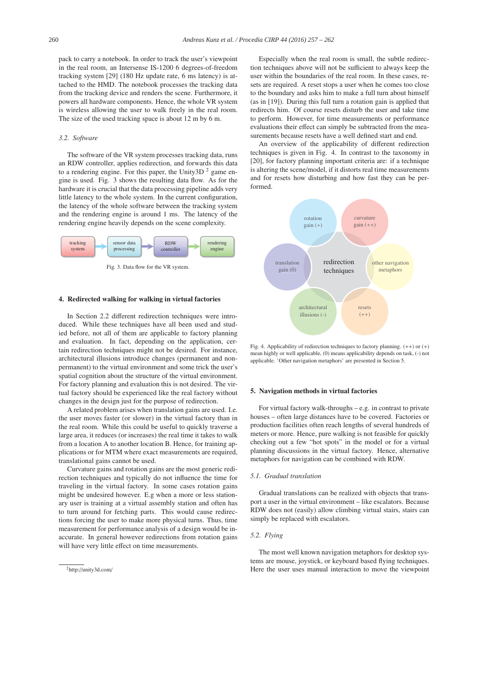pack to carry a notebook. In order to track the user's viewpoint in the real room, an Intersense IS-1200 6 degrees-of-freedom tracking system [29] (180 Hz update rate, 6 ms latency) is attached to the HMD. The notebook processes the tracking data from the tracking device and renders the scene. Furthermore, it powers all hardware components. Hence, the whole VR system is wireless allowing the user to walk freely in the real room. The size of the used tracking space is about 12 m by 6 m.

## *3.2. Software*

The software of the VR system processes tracking data, runs an RDW controller, applies redirection, and forwards this data to a rendering engine. For this paper, the Unity3D  $2$  game engine is used. Fig. 3 shows the resulting data flow. As for the hardware it is crucial that the data processing pipeline adds very little latency to the whole system. In the current configuration, the latency of the whole software between the tracking system and the rendering engine is around 1 ms. The latency of the rendering engine heavily depends on the scene complexity.



Fig. 3. Data flow for the VR system.

## 4. Redirected walking for walking in virtual factories

In Section 2.2 different redirection techniques were introduced. While these techniques have all been used and studied before, not all of them are applicable to factory planning and evaluation. In fact, depending on the application, certain redirection techniques might not be desired. For instance, architectural illusions introduce changes (permanent and nonpermanent) to the virtual environment and some trick the user's spatial cognition about the structure of the virtual environment. For factory planning and evaluation this is not desired. The virtual factory should be experienced like the real factory without changes in the design just for the purpose of redirection.

A related problem arises when translation gains are used. I.e. the user moves faster (or slower) in the virtual factory than in the real room. While this could be useful to quickly traverse a large area, it reduces (or increases) the real time it takes to walk from a location A to another location B. Hence, for training applications or for MTM where exact measurements are required, translational gains cannot be used.

Curvature gains and rotation gains are the most generic redirection techniques and typically do not influence the time for traveling in the virtual factory. In some cases rotation gains might be undesired however. E.g when a more or less stationary user is training at a virtual assembly station and often has to turn around for fetching parts. This would cause redirections forcing the user to make more physical turns. Thus, time measurement for performance analysis of a design would be inaccurate. In general however redirections from rotation gains will have very little effect on time measurements.

Especially when the real room is small, the subtle redirection techniques above will not be sufficient to always keep the user within the boundaries of the real room. In these cases, resets are required. A reset stops a user when he comes too close to the boundary and asks him to make a full turn about himself (as in [19]). During this full turn a rotation gain is applied that redirects him. Of course resets disturb the user and take time to perform. However, for time measurements or performance evaluations their effect can simply be subtracted from the measurements because resets have a well defined start and end.

An overview of the applicability of different redirection techniques is given in Fig. 4. In contrast to the taxonomy in [20], for factory planning important criteria are: if a technique is altering the scene/model, if it distorts real time measurements and for resets how disturbing and how fast they can be performed.



Fig. 4. Applicability of redirection techniques to factory planning. (++) or (+) mean highly or well applicable, (0) means applicability depends on task, (-) not applicable. 'Other navigation metaphors' are presented in Section 5.

## 5. Navigation methods in virtual factories

For virtual factory walk-throughs – e.g. in contrast to private houses – often large distances have to be covered. Factories or production facilities often reach lengths of several hundreds of meters or more. Hence, pure walking is not feasible for quickly checking out a few "hot spots" in the model or for a virtual planning discussions in the virtual factory. Hence, alternative metaphors for navigation can be combined with RDW.

#### *5.1. Gradual translation*

Gradual translations can be realized with objects that transport a user in the virtual environment – like escalators. Because RDW does not (easily) allow climbing virtual stairs, stairs can simply be replaced with escalators.

## *5.2. Flying*

The most well known navigation metaphors for desktop systems are mouse, joystick, or keyboard based flying techniques. Here the user uses manual interaction to move the viewpoint

<sup>2</sup>http://unity3d.com/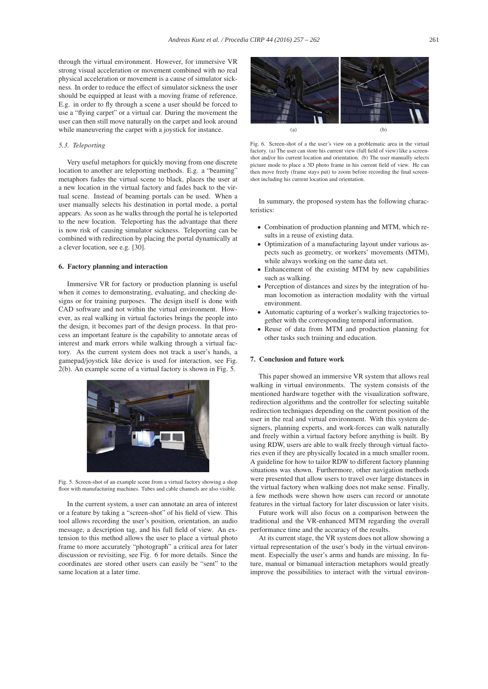through the virtual environment. However, for immersive VR strong visual acceleration or movement combined with no real physical acceleration or movement is a cause of simulator sickness. In order to reduce the effect of simulator sickness the user should be equipped at least with a moving frame of reference. E.g. in order to fly through a scene a user should be forced to use a "flying carpet" or a virtual car. During the movement the user can then still move naturally on the carpet and look around while maneuvering the carpet with a joystick for instance.

#### *5.3. Teleporting*

Very useful metaphors for quickly moving from one discrete location to another are teleporting methods. E.g. a "beaming" metaphors fades the virtual scene to black, places the user at a new location in the virtual factory and fades back to the virtual scene. Instead of beaming portals can be used. When a user manually selects his destination in portal mode, a portal appears. As soon as he walks through the portal he is teleported to the new location. Teleporting has the advantage that there is now risk of causing simulator sickness. Teleporting can be combined with redirection by placing the portal dynamically at a clever location, see e.g. [30].

## 6. Factory planning and interaction

Immersive VR for factory or production planning is useful when it comes to demonstrating, evaluating, and checking designs or for training purposes. The design itself is done with CAD software and not within the virtual environment. However, as real walking in virtual factories brings the people into the design, it becomes part of the design process. In that process an important feature is the capability to annotate areas of interest and mark errors while walking through a virtual factory. As the current system does not track a user's hands, a gamepad/joystick like device is used for interaction, see Fig. 2(b). An example scene of a virtual factory is shown in Fig. 5.



Fig. 5. Screen-shot of an example scene from a virtual factory showing a shop floor with manufacturing machines. Tubes and cable channels are also visible.

In the current system, a user can annotate an area of interest or a feature by taking a "screen-shot" of his field of view. This tool allows recording the user's position, orientation, an audio message, a description tag, and his full field of view. An extension to this method allows the user to place a virtual photo frame to more accurately "photograph" a critical area for later discussion or revisiting, see Fig. 6 for more details. Since the coordinates are stored other users can easily be "sent" to the same location at a later time.



Fig. 6. Screen-shot of a the user's view on a problematic area in the virtual factory. (a) The user can store his current view (full field of view) like a screenshot and/or his current location and orientation. (b) The user manually selects picture mode to place a 3D photo frame in his current field of view. He can then move freely (frame stays put) to zoom before recording the final screenshot including his current location and orientation.

In summary, the proposed system has the following characteristics:

- Combination of production planning and MTM, which results in a reuse of existing data.
- Optimization of a manufacturing layout under various aspects such as geometry, or workers' movements (MTM), while always working on the same data set.
- Enhancement of the existing MTM by new capabilities such as walking.
- Perception of distances and sizes by the integration of human locomotion as interaction modality with the virtual environment.
- Automatic capturing of a worker's walking trajectories together with the corresponding temporal information.
- Reuse of data from MTM and production planning for other tasks such training and education.

#### 7. Conclusion and future work

This paper showed an immersive VR system that allows real walking in virtual environments. The system consists of the mentioned hardware together with the visualization software, redirection algorithms and the controller for selecting suitable redirection techniques depending on the current position of the user in the real and virtual environment. With this system designers, planning experts, and work-forces can walk naturally and freely within a virtual factory before anything is built. By using RDW, users are able to walk freely through virtual factories even if they are physically located in a much smaller room. A guideline for how to tailor RDW to different factory planning situations was shown. Furthermore, other navigation methods were presented that allow users to travel over large distances in the virtual factory when walking does not make sense. Finally, a few methods were shown how users can record or annotate features in the virtual factory for later discussion or later visits.

Future work will also focus on a comparison between the traditional and the VR-enhanced MTM regarding the overall performance time and the accuracy of the results.

At its current stage, the VR system does not allow showing a virtual representation of the user's body in the virtual environment. Especially the user's arms and hands are missing. In future, manual or bimanual interaction metaphors would greatly improve the possibilities to interact with the virtual environ